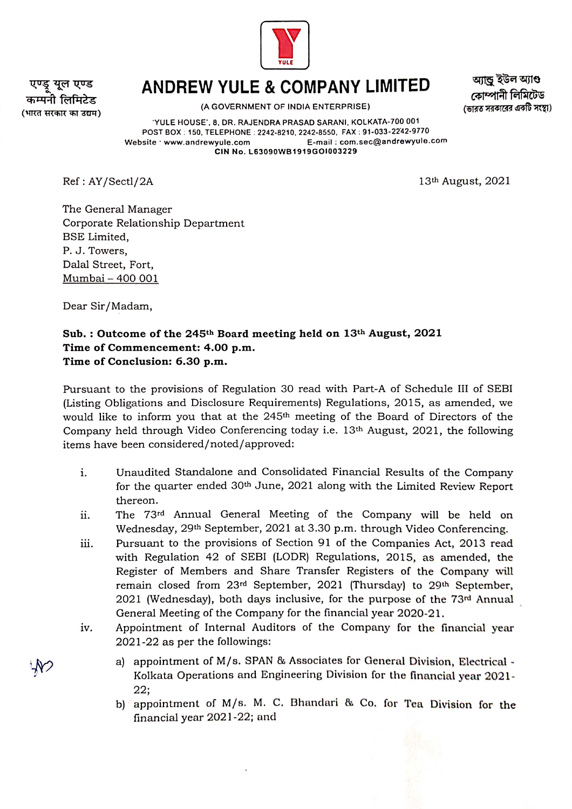

युल एण्ड (भारत सरकार का उद्यम)

## ANDREW YULE & COMPANY LIMITED

(A GOVERNMENT OF INDIA ENTERPRISE)

আন্ড ইউল অ্যাণ্ড কোম্পানী লিমিটেড (ভারত সরকারের একটি সংস্থা)

YULE HOUSE, 8, DR. RAJENDRA PRASAD SARANI, KOLKATA-700 001 POST BOX: 150, TELEPHONE: 2242-8210, 2242-8550, FAX: 91-033-2242-9770 Website www.andrewyule.com E-mail: com.sec@andrewyule.com CIN No. L63090WB1919GOi003229

Ref: AY/Sectl/2A 13<sup>th</sup> August, 2021

The General Manager Corporate Relationship Department BSE Limited, P. J. Towers, Dalal Street, Fort, Mumbai-400 001

Dear Sir/Madam,

## Sub.: Outcome of the 245<sup>th</sup> Board meeting held on  $13<sup>th</sup>$  August, 2021 Time of Commencement: 4.00 p.m. Time of Conclusion: 6.30 p.m.

Pursuant to the provisions of Regulation 30 read with Part-A of Schedule III of SEBI (Listing Obligations and Disclosure Requirements) Regulations, 2015, as amended, we would like to inform you that at the 245<sup>th</sup> meeting of the Board of Directors of the Company held through Video Conferencing today i.e. 13th August, 2021, the following items have been considered/noted/approved:

- Unaudited Standalone and Consolidated Financial Results of the Company  $\mathbf{i}$ . for the quarter ended 30<sup>th</sup> June, 2021 along with the Limited Review Report thereon.
- The 73rd Annual General Meeting of the Company will be held on Wednesday, 29th September, 2021 at 3.30 p.m. through Video Conferencing. ii.
- Pursuant to the provisions of Section 91 of the Companies Act, 2013 read with Regulation 42 of SEBI (LODR) Regulations, 2015, as amended, the Register of Members and Share Transfer Registers of the Company will remain closed from 23<sup>rd</sup> September, 2021 (Thursday) to 29<sup>th</sup> September, 2021 (Wednesday), both days inclusive, for the purpose of the 73rd Annual General Meeting of the Company for the financial year 2020-21. iii.
- Appointment of Internal Auditors of the Company for the financial year 2021-22 as per the followings: iv.
	- a) appointment of M/s. SPAN & Associates for General Division, Electrical Kolkata Operations and Engineering Division for the financial year 2021- 22;
		- b) appointment of M/s. M. C. Bhandari & Co. for Tea Division for the financial year 2021-22; and